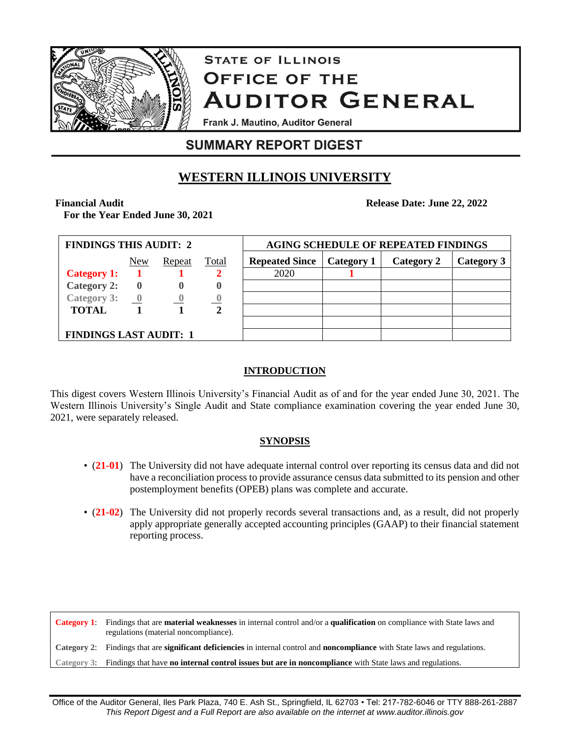

# **STATE OF ILLINOIS OFFICE OF THE AUDITOR GENERAL**

Frank J. Mautino, Auditor General

# **SUMMARY REPORT DIGEST**

# **WESTERN ILLINOIS UNIVERSITY**

#### **Financial Audit**

**For the Year Ended June 30, 2021**

| <b>FINDINGS THIS AUDIT: 2</b> |                          |          |             | <b>AGING SCHEDULE OF REPEATED FINDINGS</b> |            |            |            |  |
|-------------------------------|--------------------------|----------|-------------|--------------------------------------------|------------|------------|------------|--|
|                               | New                      | Repeat   | Total       | <b>Repeated Since</b>                      | Category 1 | Category 2 | Category 3 |  |
| <b>Category 1:</b>            |                          |          |             | 2020                                       |            |            |            |  |
| <b>Category 2:</b>            | $\mathbf 0$              |          | U           |                                            |            |            |            |  |
| <b>Category 3:</b>            | $\overline{\phantom{a}}$ | $\bf{0}$ |             |                                            |            |            |            |  |
| <b>TOTAL</b>                  |                          |          | $\mathbf 2$ |                                            |            |            |            |  |
|                               |                          |          |             |                                            |            |            |            |  |
| <b>FINDINGS LAST AUDIT: 1</b> |                          |          |             |                                            |            |            |            |  |

# **INTRODUCTION**

This digest covers Western Illinois University's Financial Audit as of and for the year ended June 30, 2021. The Western Illinois University's Single Audit and State compliance examination covering the year ended June 30, 2021, were separately released.

# **SYNOPSIS**

- (**21-01**) The University did not have adequate internal control over reporting its census data and did not have a reconciliation process to provide assurance census data submitted to its pension and other postemployment benefits (OPEB) plans was complete and accurate.
- (21-02) The University did not properly records several transactions and, as a result, did not properly apply appropriate generally accepted accounting principles (GAAP) to their financial statement reporting process.

**Category 1**: Findings that are **material weaknesses** in internal control and/or a **qualification** on compliance with State laws and regulations (material noncompliance). **Category 2**: Findings that are **significant deficiencies** in internal control and **noncompliance** with State laws and regulations. **Category 3**: Findings that have **no internal control issues but are in noncompliance** with State laws and regulations.

**Release Date: June 22, 2022**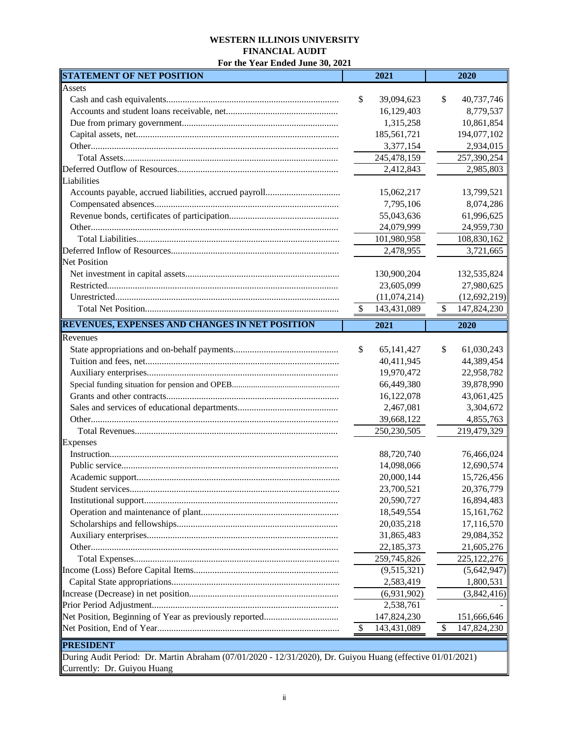#### **WESTERN ILLINOIS UNIVERSITY FINANCIAL AUDIT**

**For the Year Ended June 30, 2021**

| <b>STATEMENT OF NET POSITION</b>                                                                           |                           | 2021          |               | 2020           |
|------------------------------------------------------------------------------------------------------------|---------------------------|---------------|---------------|----------------|
| Assets                                                                                                     |                           |               |               |                |
|                                                                                                            | \$                        | 39,094,623    | \$            | 40,737,746     |
|                                                                                                            |                           | 16,129,403    |               | 8,779,537      |
|                                                                                                            |                           | 1,315,258     |               | 10,861,854     |
|                                                                                                            |                           | 185,561,721   |               | 194,077,102    |
|                                                                                                            |                           | 3,377,154     |               | 2,934,015      |
|                                                                                                            |                           | 245,478,159   |               | 257,390,254    |
|                                                                                                            |                           | 2,412,843     |               | 2,985,803      |
| Liabilities                                                                                                |                           |               |               |                |
|                                                                                                            |                           | 15,062,217    |               | 13,799,521     |
|                                                                                                            |                           | 7,795,106     |               | 8,074,286      |
|                                                                                                            |                           | 55,043,636    |               | 61,996,625     |
|                                                                                                            |                           | 24,079,999    |               | 24,959,730     |
|                                                                                                            |                           | 101,980,958   |               | 108,830,162    |
|                                                                                                            |                           | 2,478,955     |               | 3,721,665      |
| <b>Net Position</b>                                                                                        |                           |               |               |                |
|                                                                                                            |                           | 130,900,204   |               | 132,535,824    |
|                                                                                                            |                           | 23,605,099    |               | 27,980,625     |
|                                                                                                            |                           | (11,074,214)  |               | (12, 692, 219) |
|                                                                                                            | $\sqrt{3}$                | 143,431,089   | $\frac{1}{2}$ | 147,824,230    |
|                                                                                                            |                           |               |               |                |
| <b>REVENUES, EXPENSES AND CHANGES IN NET POSITION</b>                                                      |                           | 2021          |               | 2020           |
| Revenues                                                                                                   |                           |               |               |                |
|                                                                                                            | \$                        | 65, 141, 427  | \$            | 61,030,243     |
|                                                                                                            |                           | 40,411,945    |               | 44,389,454     |
|                                                                                                            |                           | 19,970,472    |               | 22,958,782     |
|                                                                                                            |                           | 66,449,380    |               | 39,878,990     |
|                                                                                                            |                           | 16,122,078    |               | 43,061,425     |
|                                                                                                            |                           | 2,467,081     |               | 3,304,672      |
|                                                                                                            |                           | 39,668,122    |               | 4,855,763      |
|                                                                                                            |                           | 250, 230, 505 |               | 219,479,329    |
| Expenses                                                                                                   |                           |               |               |                |
|                                                                                                            |                           | 88,720,740    |               | 76,466,024     |
|                                                                                                            |                           | 14,098,066    |               | 12,690,574     |
|                                                                                                            |                           | 20,000,144    |               | 15,726,456     |
|                                                                                                            |                           | 23,700,521    |               | 20,376,779     |
|                                                                                                            |                           | 20,590,727    |               | 16,894,483     |
|                                                                                                            |                           | 18,549,554    |               | 15, 161, 762   |
|                                                                                                            |                           | 20,035,218    |               | 17,116,570     |
|                                                                                                            |                           | 31,865,483    |               | 29,084,352     |
|                                                                                                            |                           | 22,185,373    |               | 21,605,276     |
|                                                                                                            |                           | 259,745,826   |               | 225, 122, 276  |
|                                                                                                            |                           | (9,515,321)   |               | (5,642,947)    |
|                                                                                                            |                           | 2,583,419     |               | 1,800,531      |
|                                                                                                            |                           | (6,931,902)   |               | (3,842,416)    |
|                                                                                                            |                           | 2,538,761     |               |                |
|                                                                                                            |                           | 147,824,230   |               | 151,666,646    |
|                                                                                                            | $\boldsymbol{\mathsf{S}}$ | 143,431,089   | \$            | 147,824,230    |
|                                                                                                            |                           |               |               |                |
| <b>PRESIDENT</b>                                                                                           |                           |               |               |                |
| During Audit Period: Dr. Martin Abraham (07/01/2020 - 12/31/2020), Dr. Guiyou Huang (effective 01/01/2021) |                           |               |               |                |
| Currently: Dr. Guiyou Huang                                                                                |                           |               |               |                |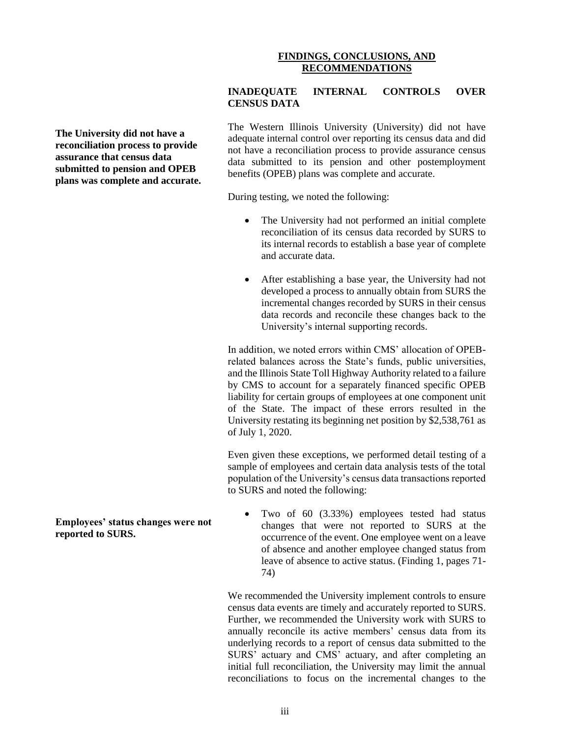#### **FINDINGS, CONCLUSIONS, AND RECOMMENDATIONS**

**INADEQUATE INTERNAL CONTROLS OVER CENSUS DATA**

**The University did not have a reconciliation process to provide assurance that census data submitted to pension and OPEB plans was complete and accurate.** The Western Illinois University (University) did not have adequate internal control over reporting its census data and did not have a reconciliation process to provide assurance census data submitted to its pension and other postemployment benefits (OPEB) plans was complete and accurate.

During testing, we noted the following:

- The University had not performed an initial complete reconciliation of its census data recorded by SURS to its internal records to establish a base year of complete and accurate data.
- After establishing a base year, the University had not developed a process to annually obtain from SURS the incremental changes recorded by SURS in their census data records and reconcile these changes back to the University's internal supporting records.

In addition, we noted errors within CMS' allocation of OPEBrelated balances across the State's funds, public universities, and the Illinois State Toll Highway Authority related to a failure by CMS to account for a separately financed specific OPEB liability for certain groups of employees at one component unit of the State. The impact of these errors resulted in the University restating its beginning net position by \$2,538,761 as of July 1, 2020.

Even given these exceptions, we performed detail testing of a sample of employees and certain data analysis tests of the total population of the University's census data transactions reported to SURS and noted the following:

• Two of 60 (3.33%) employees tested had status changes that were not reported to SURS at the occurrence of the event. One employee went on a leave of absence and another employee changed status from leave of absence to active status. (Finding 1, pages 71- 74)

We recommended the University implement controls to ensure census data events are timely and accurately reported to SURS. Further, we recommended the University work with SURS to annually reconcile its active members' census data from its underlying records to a report of census data submitted to the SURS' actuary and CMS' actuary, and after completing an initial full reconciliation, the University may limit the annual reconciliations to focus on the incremental changes to the

**Employees' status changes were not reported to SURS.**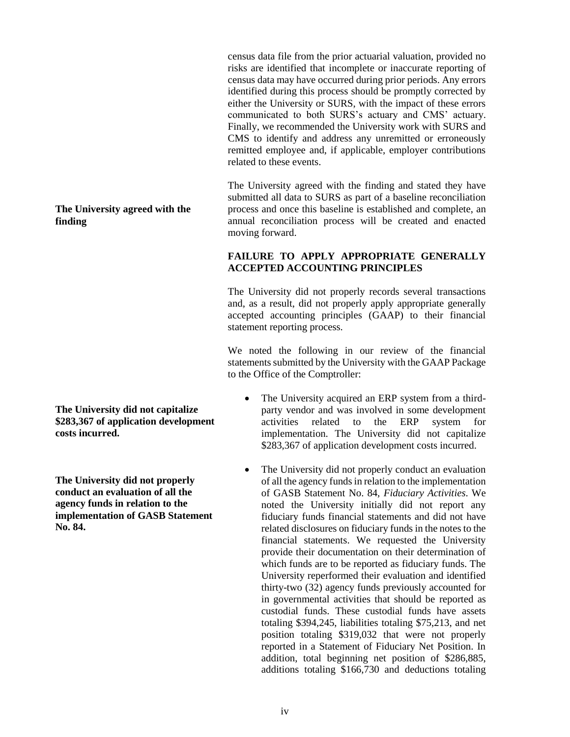census data file from the prior actuarial valuation, provided no risks are identified that incomplete or inaccurate reporting of census data may have occurred during prior periods. Any errors identified during this process should be promptly corrected by either the University or SURS, with the impact of these errors communicated to both SURS's actuary and CMS' actuary. Finally, we recommended the University work with SURS and CMS to identify and address any unremitted or erroneously remitted employee and, if applicable, employer contributions related to these events.

The University agreed with the finding and stated they have submitted all data to SURS as part of a baseline reconciliation process and once this baseline is established and complete, an annual reconciliation process will be created and enacted moving forward.

## **FAILURE TO APPLY APPROPRIATE GENERALLY ACCEPTED ACCOUNTING PRINCIPLES**

The University did not properly records several transactions and, as a result, did not properly apply appropriate generally accepted accounting principles (GAAP) to their financial statement reporting process.

We noted the following in our review of the financial statements submitted by the University with the GAAP Package to the Office of the Comptroller:

- The University acquired an ERP system from a thirdparty vendor and was involved in some development activities related to the ERP system for implementation. The University did not capitalize \$283,367 of application development costs incurred.
- The University did not properly conduct an evaluation of all the agency funds in relation to the implementation of GASB Statement No. 84, *Fiduciary Activities*. We noted the University initially did not report any fiduciary funds financial statements and did not have related disclosures on fiduciary funds in the notes to the financial statements. We requested the University provide their documentation on their determination of which funds are to be reported as fiduciary funds. The University reperformed their evaluation and identified thirty-two (32) agency funds previously accounted for in governmental activities that should be reported as custodial funds. These custodial funds have assets totaling \$394,245, liabilities totaling \$75,213, and net position totaling \$319,032 that were not properly reported in a Statement of Fiduciary Net Position. In addition, total beginning net position of \$286,885, additions totaling \$166,730 and deductions totaling

## **The University agreed with the finding**

**The University did not capitalize \$283,367 of application development costs incurred.**

**The University did not properly conduct an evaluation of all the agency funds in relation to the implementation of GASB Statement No. 84.**